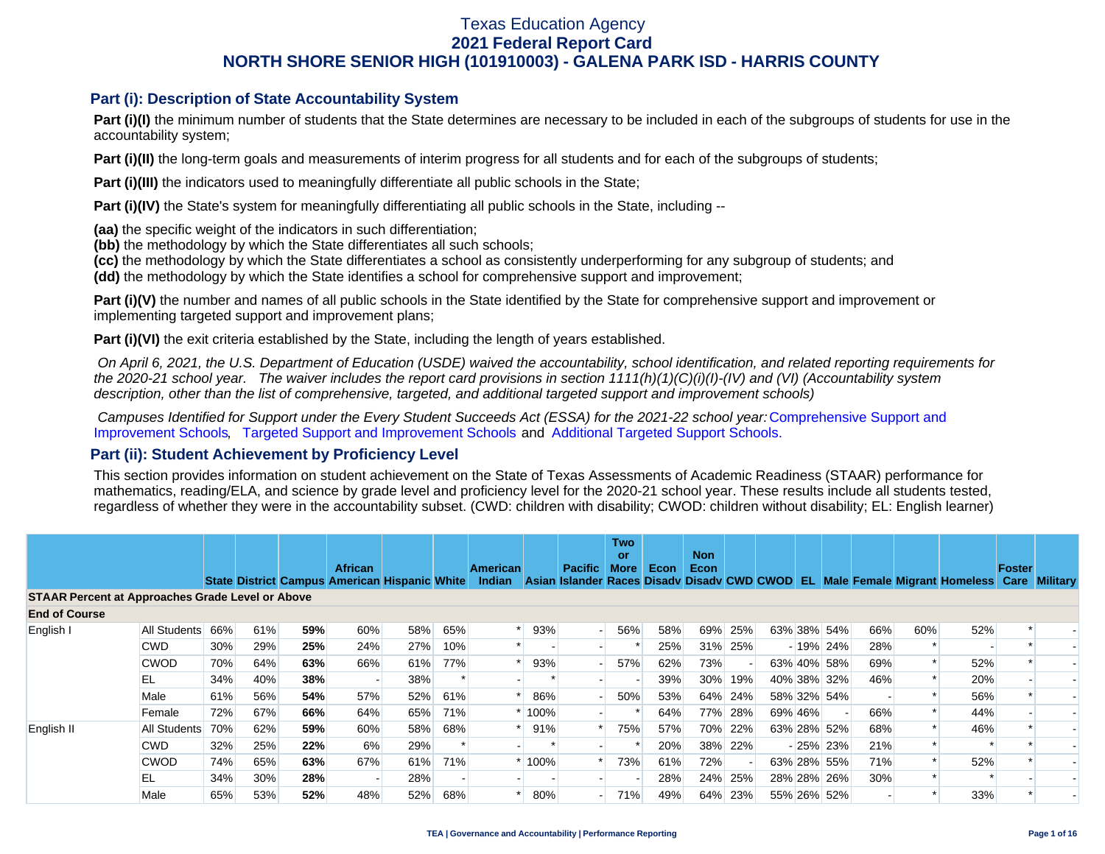#### **Part (i): Description of State Accountability System**

**Part (i)(I)** the minimum number of students that the State determines are necessary to be included in each of the subgroups of students for use in the accountability system;

**Part (i)(II)** the long-term goals and measurements of interim progress for all students and for each of the subgroups of students;

**Part (i)(III)** the indicators used to meaningfully differentiate all public schools in the State;

**Part (i)(IV)** the State's system for meaningfully differentiating all public schools in the State, including --

**(aa)** the specific weight of the indicators in such differentiation;

**(bb)** the methodology by which the State differentiates all such schools;

**(cc)** the methodology by which the State differentiates a school as consistently underperforming for any subgroup of students; and

**(dd)** the methodology by which the State identifies a school for comprehensive support and improvement;

**Part (i)(V)** the number and names of all public schools in the State identified by the State for comprehensive support and improvement or implementing targeted support and improvement plans;

**Part (i)(VI)** the exit criteria established by the State, including the length of years established.

 *On April 6, 2021, the U.S. Department of Education (USDE) waived the accountability, school identification, and related reporting requirements for the 2020-21 school year. The waiver includes the report card provisions in section 1111(h)(1)(C)(i)(I)-(IV) and (VI) (Accountability system description, other than the list of comprehensive, targeted, and additional targeted support and improvement schools)* 

*Campuses Identified for Support under the Every Student Succeeds Act (ESSA) for the 2021-22 school year:* [Comprehensive Support and](https://tea.texas.gov/sites/default/files/comprehensive_support_2021.xlsx) [Improvement Schools](https://tea.texas.gov/sites/default/files/comprehensive_support_2021.xlsx), [Targeted Support and Improvement Schools](https://tea.texas.gov/sites/default/files/targeted_support_2021.xlsx) and [Additional Targeted Support Schools.](https://tea.texas.gov/sites/default/files/additional_targeted_support_2021.xlsx)

#### **Part (ii): Student Achievement by Proficiency Level**

This section provides information on student achievement on the State of Texas Assessments of Academic Readiness (STAAR) performance for mathematics, reading/ELA, and science by grade level and proficiency level for the 2020-21 school year. These results include all students tested, regardless of whether they were in the accountability subset. (CWD: children with disability; CWOD: children without disability; EL: English learner)

|                                                         |                  |     |     |     |                                                                        |     |     |                                  |      |                                                               | <b>Two</b><br>or |             | <b>Non</b> |         |         |             |     |     |                                        |               |                      |
|---------------------------------------------------------|------------------|-----|-----|-----|------------------------------------------------------------------------|-----|-----|----------------------------------|------|---------------------------------------------------------------|------------------|-------------|------------|---------|---------|-------------|-----|-----|----------------------------------------|---------------|----------------------|
|                                                         |                  |     |     |     | <b>African</b><br><b>State District Campus American Hispanic White</b> |     |     | <b>American</b><br><b>Indian</b> |      | <b>Pacific</b><br>Asian Islander Races Disady Disady CWD CWOD | <b>More</b>      | <b>Econ</b> | Econ       |         |         |             |     |     | <b>EL Male Female Migrant Homeless</b> | <b>Foster</b> | <b>Care Military</b> |
| <b>STAAR Percent at Approaches Grade Level or Above</b> |                  |     |     |     |                                                                        |     |     |                                  |      |                                                               |                  |             |            |         |         |             |     |     |                                        |               |                      |
| <b>End of Course</b>                                    |                  |     |     |     |                                                                        |     |     |                                  |      |                                                               |                  |             |            |         |         |             |     |     |                                        |               |                      |
| English I                                               | All Students 66% |     | 61% | 59% | 60%                                                                    | 58% | 65% |                                  | 93%  |                                                               | 56%              | 58%         | 69%        | 25%     |         | 63% 38% 54% | 66% | 60% | 52%                                    |               |                      |
|                                                         | <b>CWD</b>       | 30% | 29% | 25% | 24%                                                                    | 27% | 10% |                                  |      |                                                               |                  | 25%         | 31%        | 25%     |         | $-19\%$ 24% | 28% |     |                                        |               |                      |
|                                                         | <b>CWOD</b>      | 70% | 64% | 63% | 66%                                                                    | 61% | 77% |                                  | 93%  |                                                               | 57%              | 62%         | 73%        |         |         | 63% 40% 58% | 69% |     | 52%                                    |               |                      |
|                                                         | EL               | 34% | 40% | 38% |                                                                        | 38% |     |                                  |      |                                                               |                  | 39%         | $30\%$     | 19%     |         | 40% 38% 32% | 46% |     | 20%                                    |               |                      |
|                                                         | Male             | 61% | 56% | 54% | 57%                                                                    | 52% | 61% |                                  | 86%  |                                                               | 50%              | 53%         | 64%        | 24%     |         | 58% 32% 54% |     |     | 56%                                    |               |                      |
|                                                         | Female           | 72% | 67% | 66% | 64%                                                                    | 65% | 71% |                                  | 100% |                                                               |                  | 64%         | 77%        | 28%     | 69% 46% |             | 66% |     | 44%                                    |               |                      |
| English II                                              | All Students     | 70% | 62% | 59% | 60%                                                                    | 58% | 68% |                                  | 91%  |                                                               | 75%              | 57%         |            | 70% 22% |         | 63% 28% 52% | 68% |     | 46%                                    |               |                      |
|                                                         | <b>CWD</b>       | 32% | 25% | 22% | 6%                                                                     | 29% |     |                                  |      |                                                               |                  | 20%         |            | 38% 22% |         | $-25\%$ 23% | 21% |     |                                        |               |                      |
|                                                         | <b>CWOD</b>      | 74% | 65% | 63% | 67%                                                                    | 61% | 71% |                                  | 100% |                                                               | 73%              | 61%         | 72%        |         |         | 63% 28% 55% | 71% |     | 52%                                    |               |                      |
|                                                         | EL               | 34% | 30% | 28% |                                                                        | 28% |     |                                  |      |                                                               |                  | 28%         | 24%        | 25%     |         | 28% 28% 26% | 30% |     |                                        |               |                      |
|                                                         | Male             | 65% | 53% | 52% | 48%                                                                    | 52% | 68% |                                  | 80%  |                                                               | 71%              | 49%         | 64%        | 23%     |         | 55% 26% 52% |     |     | 33%                                    |               |                      |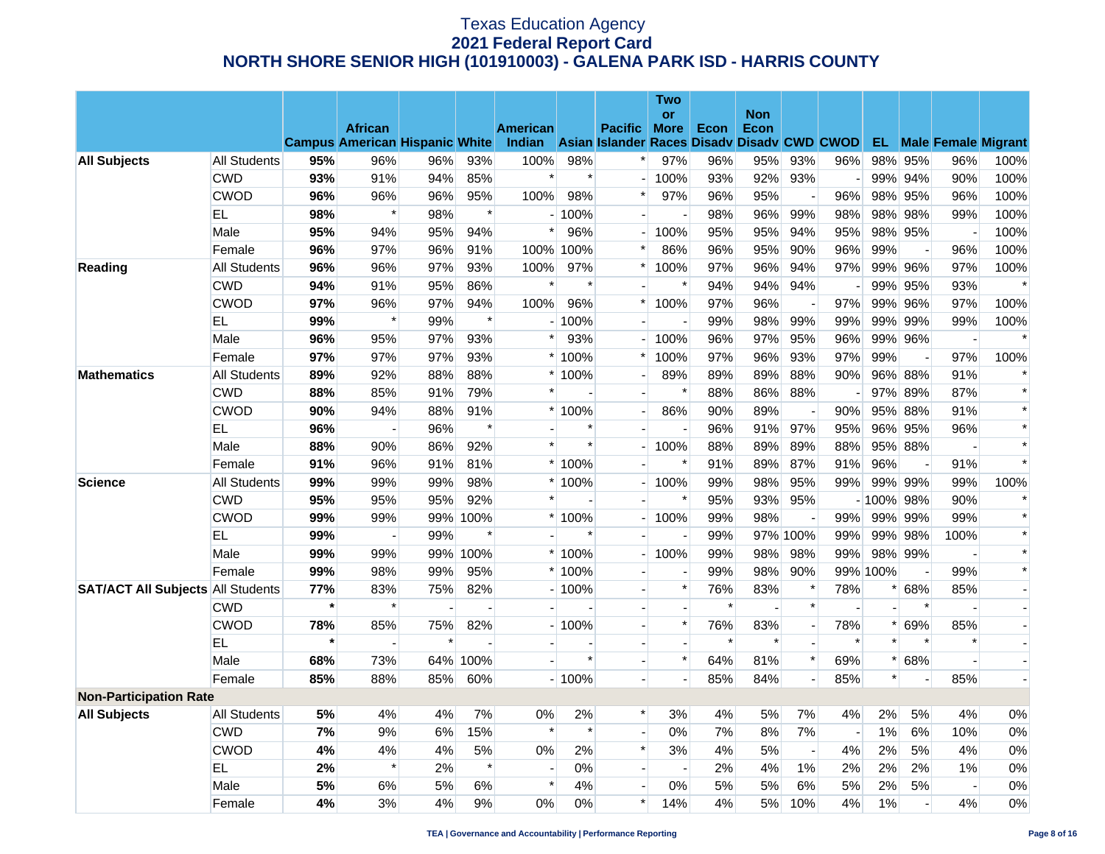|                                          |                     |         |                                       |                |                |                           |                     |                                             | <b>Two</b>     |        |                    |                          |                          |              |                          |                          |                               |
|------------------------------------------|---------------------|---------|---------------------------------------|----------------|----------------|---------------------------|---------------------|---------------------------------------------|----------------|--------|--------------------|--------------------------|--------------------------|--------------|--------------------------|--------------------------|-------------------------------|
|                                          |                     |         | <b>African</b>                        |                |                |                           |                     | <b>Pacific</b>                              | <b>or</b>      | Econ   | <b>Non</b><br>Econ |                          |                          |              |                          |                          |                               |
|                                          |                     |         | <b>Campus American Hispanic White</b> |                |                | <b>American</b><br>Indian |                     | Asian Islander Races Disady Disady CWD CWOD | <b>More</b>    |        |                    |                          |                          |              |                          |                          | <b>EL</b> Male Female Migrant |
| <b>All Subjects</b>                      | <b>All Students</b> | 95%     | 96%                                   | 96%            | 93%            | 100%                      | 98%                 | $\ast$                                      | 97%            | 96%    | 95%                | 93%                      | 96%                      | 98%          | 95%                      | 96%                      | 100%                          |
|                                          | <b>CWD</b>          | 93%     | 91%                                   | 94%            | 85%            | $\ast$                    | $\ast$              |                                             | 100%           | 93%    | 92%                | 93%                      | $\overline{\phantom{a}}$ |              | 99% 94%                  | 90%                      | 100%                          |
|                                          | <b>CWOD</b>         | 96%     | 96%                                   | 96%            | 95%            | 100%                      | 98%                 | $\ast$                                      | 97%            | 96%    | 95%                | $\overline{\phantom{a}}$ | 96%                      |              | 98% 95%                  | 96%                      | 100%                          |
|                                          | <b>EL</b>           | 98%     | $\ast$                                | 98%            | $\ast$         |                           | $-100%$             |                                             |                | 98%    | 96%                | 99%                      | 98%                      |              | 98% 98%                  | 99%                      | 100%                          |
|                                          | Male                | 95%     | 94%                                   | 95%            | 94%            | $\pmb{\ast}$              | 96%                 |                                             | 100%           | 95%    | 95%                | 94%                      | 95%                      |              | 98% 95%                  |                          | 100%                          |
|                                          | Female              | 96%     | 97%                                   | 96%            | 91%            | 100%                      | 00%<br>$\mathbf{1}$ | $\ast$                                      | 86%            | 96%    | 95%                | 90%                      | 96%                      | 99%          | $\overline{\phantom{a}}$ | 96%                      | 100%                          |
| Reading                                  | <b>All Students</b> | 96%     | 96%                                   | 97%            | 93%            | 100%                      | 97%                 | $\ast$                                      | 100%           | 97%    | 96%                | 94%                      | 97%                      |              | 99% 96%                  | 97%                      | 100%                          |
|                                          | <b>CWD</b>          | 94%     | 91%                                   | 95%            | 86%            | $\ast$                    | $\ast$              |                                             | $\ast$         | 94%    | 94%                | 94%                      |                          |              | 99% 95%                  | 93%                      | $\ast$                        |
|                                          | <b>CWOD</b>         | 97%     | 96%                                   | 97%            | 94%            | 100%                      | 96%                 | $\ast$                                      | 100%           | 97%    | 96%                | $\overline{\phantom{a}}$ | 97%                      |              | 99% 96%                  | 97%                      | 100%                          |
|                                          | EL                  | 99%     | $\ast$                                | 99%            | $\ast$         |                           | $-100%$             |                                             |                | 99%    | 98%                | 99%                      | 99%                      | 99%          | 99%                      | 99%                      | 100%                          |
|                                          | Male                | 96%     | 95%                                   | 97%            | 93%            | $\ast$                    | 93%                 |                                             | 100%           | 96%    | 97%                | 95%                      | 96%                      |              | 99% 96%                  |                          |                               |
|                                          | Female              | 97%     | 97%                                   | 97%            | 93%            |                           | $*100%$             | $\ast$                                      | 100%           | 97%    | 96%                | 93%                      | 97%                      | 99%          | $\overline{a}$           | 97%                      | 100%                          |
| <b>Mathematics</b>                       | All Students        | 89%     | 92%                                   | 88%            | 88%            |                           | * 100%              |                                             | 89%            | 89%    | 89%                | 88%                      | 90%                      |              | 96% 88%                  | 91%                      | $\ast$                        |
|                                          | <b>CWD</b>          | 88%     | 85%                                   | 91%            | 79%            |                           |                     |                                             | $\ast$         | 88%    | 86%                | 88%                      |                          |              | 97% 89%                  | 87%                      | $\ast$                        |
|                                          | <b>CWOD</b>         | 90%     | 94%                                   | 88%            | 91%            |                           | * 100%              |                                             | 86%            | 90%    | 89%                |                          | 90%                      |              | 95% 88%                  | 91%                      | $\ast$                        |
|                                          | <b>EL</b>           | 96%     | $\overline{a}$                        | 96%            | $\ast$         |                           | $\ast$              |                                             |                | 96%    | 91%                | 97%                      | 95%                      | 96%          | 95%                      | 96%                      | $\ast$                        |
|                                          | Male                | 88%     | 90%                                   | 86%            | 92%            | $\ast$                    | $\ast$              |                                             | 100%           | 88%    | 89%                | 89%                      | 88%                      |              | 95% 88%                  |                          | $\ast$                        |
|                                          | Female              | 91%     | 96%                                   | 91%            | 81%            |                           | $*100\%$            |                                             | $\ast$         | 91%    | 89%                | 87%                      | 91%                      | 96%          | $\overline{\phantom{a}}$ | 91%                      | $\ast$                        |
| <b>Science</b>                           | All Students        | 99%     | 99%                                   | 99%            | 98%            |                           | * 100%              |                                             | 100%           | 99%    | 98%                | 95%                      | 99%                      |              | 99% 99%                  | 99%                      | 100%                          |
|                                          | <b>CWD</b>          | 95%     | 95%                                   | 95%            | 92%            | $\ast$                    |                     |                                             | $\ast$         | 95%    | 93%                | 95%                      |                          | $-100\%$ 98% |                          | 90%                      | $\ast$                        |
|                                          | <b>CWOD</b>         | 99%     | 99%                                   | 99%            | 100%           |                           | * 100%              |                                             | 100%           | 99%    | 98%                |                          | 99%                      | 99%          | 99%                      | 99%                      | $\ast$                        |
|                                          | EL.                 | 99%     |                                       | 99%            | $\ast$         |                           | $\ast$              |                                             |                | 99%    |                    | 97% 100%                 | 99%                      | 99%          | 98%                      | 100%                     | $\ast$                        |
|                                          | Male                | 99%     | 99%                                   | 99%            | 100%           |                           | $*100%$             |                                             | 100%           | 99%    | 98%                | 98%                      | 99%                      |              | 98% 99%                  | $\overline{a}$           | $\ast$                        |
|                                          | Female              | 99%     | 98%                                   | 99%            | 95%            |                           | * 100%              |                                             |                | 99%    | 98%                | 90%                      |                          | 99% 100%     | $\overline{\phantom{a}}$ | 99%                      | $\ast$                        |
| <b>SAT/ACT All Subjects All Students</b> |                     | 77%     | 83%                                   | 75%            | 82%            |                           | $-100%$             |                                             | $\ast$         | 76%    | 83%                | $\ast$                   | 78%                      | $\ast$       | 68%                      | 85%                      |                               |
|                                          | <b>CWD</b>          | $\star$ | $\ast$                                | $\overline{a}$ | $\overline{a}$ |                           |                     |                                             |                | $\ast$ |                    | $\ast$                   |                          |              | $\ast$                   | $\overline{\phantom{a}}$ |                               |
|                                          | <b>CWOD</b>         | 78%     | 85%                                   | 75%            | 82%            |                           | $-100%$             | $\overline{a}$                              | $\ast$         | 76%    | 83%                | $\overline{\phantom{a}}$ | 78%                      | $\ast$       | 69%                      | 85%                      | $\overline{\phantom{a}}$      |
|                                          | EL                  | $\star$ |                                       | $\ast$         |                |                           |                     |                                             |                | $\ast$ | $\ast$             | $\overline{a}$           | $\ast$                   | $\ast$       | $\ast$                   | $\ast$                   | $\overline{\phantom{a}}$      |
|                                          | Male                | 68%     | 73%                                   | 64%            | 100%           |                           | $\ast$              |                                             | $\ast$         | 64%    | 81%                | $\ast$                   | 69%                      |              | 68%                      |                          | $\blacksquare$                |
|                                          | Female              | 85%     | 88%                                   | 85%            | 60%            |                           | $-100%$             |                                             |                | 85%    | 84%                | $\overline{a}$           | 85%                      | $\ast$       | $\overline{a}$           | 85%                      | $\blacksquare$                |
| <b>Non-Participation Rate</b>            |                     |         |                                       |                |                |                           |                     |                                             |                |        |                    |                          |                          |              |                          |                          |                               |
| <b>All Subjects</b>                      | <b>All Students</b> | 5%      | 4%                                    | 4%             | 7%             | 0%                        | 2%                  | $\ast$                                      | 3%             | 4%     | 5%                 | 7%                       | 4%                       | 2%           | 5%                       | 4%                       | $0\%$                         |
|                                          | <b>CWD</b>          | 7%      | 9%                                    | 6%             | 15%            | $\ast$                    | $\ast$              | $\sim$                                      | 0%             | 7%     | 8%                 | 7%                       | $\overline{a}$           | $1\%$        | 6%                       | 10%                      | 0%                            |
|                                          | <b>CWOD</b>         | 4%      | 4%                                    | 4%             | 5%             | 0%                        | 2%                  | $\ast$                                      | 3%             | 4%     | 5%                 | $\overline{\phantom{a}}$ | 4%                       | 2%           | 5%                       | 4%                       | 0%                            |
|                                          | <b>EL</b>           | 2%      | $\ast$                                | 2%             | $\ast$         |                           | 0%                  |                                             | $\overline{a}$ | 2%     | 4%                 | 1%                       | 2%                       | 2%           | 2%                       | 1%                       | 0%                            |
|                                          | Male                | 5%      | 6%                                    | 5%             | 6%             | $\ast$                    | 4%                  |                                             | 0%             | 5%     | 5%                 | 6%                       | 5%                       | 2%           | 5%                       | $\overline{\phantom{a}}$ | $0\%$                         |
|                                          | Female              | 4%      | 3%                                    | 4%             | 9%             | 0%                        | 0%                  | $\ast$                                      | 14%            | 4%     | 5%                 | 10%                      | 4%                       | 1%           |                          | 4%                       | $0\%$                         |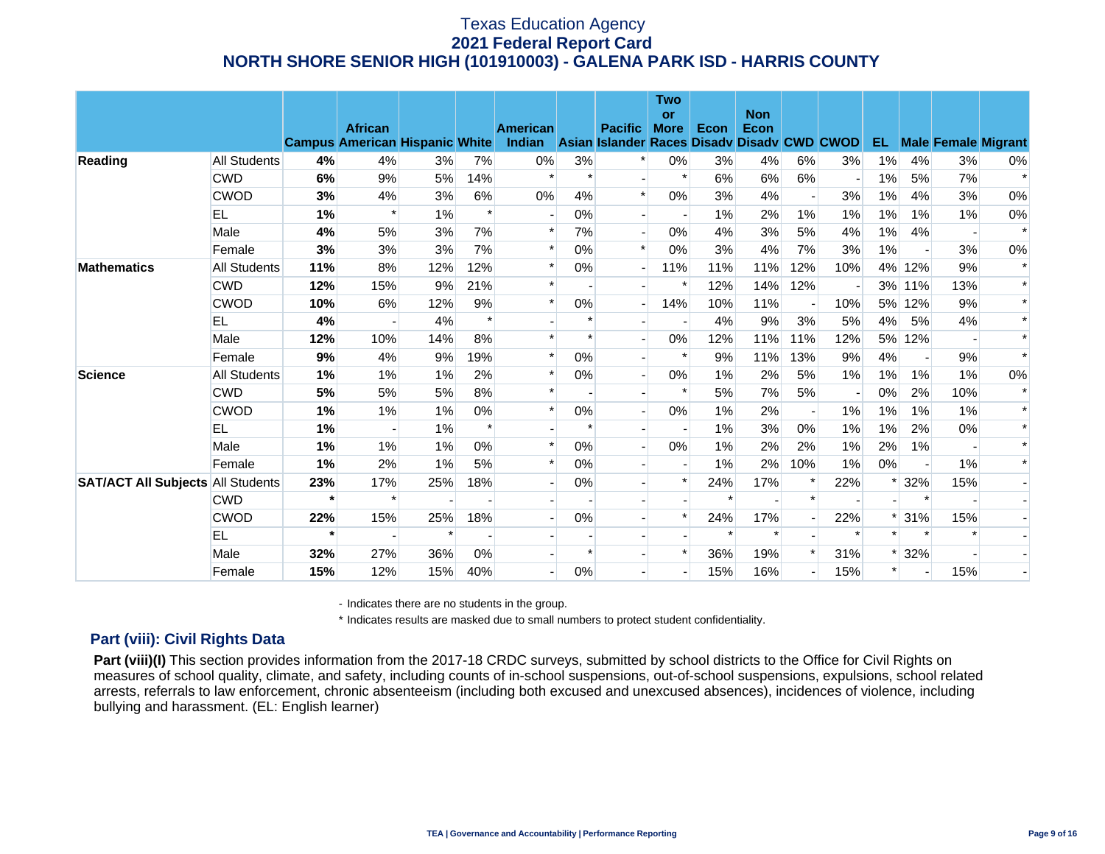|                                          |              |         | <b>African</b>                        |        |        | <b>American</b> |        | <b>Pacific</b>                              | <b>Two</b><br>or<br><b>More</b> | Econ   | <b>Non</b><br>Econ |                          |        |        |                          |        |                            |
|------------------------------------------|--------------|---------|---------------------------------------|--------|--------|-----------------|--------|---------------------------------------------|---------------------------------|--------|--------------------|--------------------------|--------|--------|--------------------------|--------|----------------------------|
|                                          |              |         | <b>Campus American Hispanic White</b> |        |        | Indian          |        | Asian Islander Races Disady Disady CWD CWOD |                                 |        |                    |                          |        | EL.    |                          |        | <b>Male Female Migrant</b> |
| Reading                                  | All Students | 4%      | 4%                                    | 3%     | 7%     | $0\%$           | 3%     | $\ast$                                      | $0\%$                           | 3%     | 4%                 | 6%                       | 3%     | 1%     | 4%                       | 3%     | $0\%$                      |
|                                          | <b>CWD</b>   | 6%      | 9%                                    | 5%     | 14%    | $\ast$          | $\ast$ |                                             | $\ast$                          | 6%     | 6%                 | 6%                       |        | 1%     | 5%                       | 7%     | $\ast$                     |
|                                          | <b>CWOD</b>  | 3%      | 4%                                    | 3%     | 6%     | $0\%$           | 4%     | $\ast$                                      | 0%                              | 3%     | 4%                 | $\overline{\phantom{a}}$ | 3%     | 1%     | 4%                       | 3%     | $0\%$                      |
|                                          | EL           | 1%      | $\ast$                                | 1%     | $\ast$ |                 | 0%     | $\blacksquare$                              |                                 | 1%     | 2%                 | 1%                       | 1%     | $1\%$  | 1%                       | $1\%$  | 0%                         |
|                                          | Male         | 4%      | 5%                                    | 3%     | 7%     | $\ast$          | 7%     |                                             | 0%                              | 4%     | 3%                 | 5%                       | 4%     | 1%     | 4%                       |        | $\ast$                     |
|                                          | Female       | 3%      | 3%                                    | 3%     | 7%     | $\ast$          | 0%     | $\ast$                                      | 0%                              | 3%     | 4%                 | 7%                       | 3%     | 1%     | $\blacksquare$           | 3%     | $0\%$                      |
| <b>Mathematics</b>                       | All Students | 11%     | 8%                                    | 12%    | 12%    | $\ast$          | 0%     | $\overline{\phantom{a}}$                    | 11%                             | 11%    | 11%                | 12%                      | 10%    |        | 4% 12%                   | 9%     | $\ast$                     |
|                                          | <b>CWD</b>   | 12%     | 15%                                   | 9%     | 21%    | $\ast$          |        | $\overline{\phantom{a}}$                    | $\ast$                          | 12%    | 14%                | 12%                      |        |        | 3% 11%                   | 13%    | $\ast$                     |
|                                          | <b>CWOD</b>  | 10%     | 6%                                    | 12%    | 9%     | $\ast$          | 0%     |                                             | 14%                             | 10%    | 11%                |                          | 10%    | 5%     | 12%                      | 9%     | $\ast$                     |
|                                          | EL.          | 4%      |                                       | 4%     | $\ast$ |                 | $\ast$ |                                             |                                 | 4%     | 9%                 | 3%                       | 5%     | 4%     | 5%                       | 4%     | $\ast$                     |
|                                          | Male         | 12%     | 10%                                   | 14%    | 8%     | $\ast$          | $\ast$ |                                             | 0%                              | 12%    | 11%                | 11%                      | 12%    |        | 5% 12%                   |        | $\ast$                     |
|                                          | Female       | 9%      | 4%                                    | 9%     | 19%    | $\ast$          | 0%     |                                             | $\ast$                          | 9%     | 11%                | 13%                      | 9%     | 4%     |                          | 9%     | $\ast$                     |
| <b>Science</b>                           | All Students | 1%      | 1%                                    | 1%     | 2%     | $\ast$          | 0%     |                                             | 0%                              | $1\%$  | 2%                 | 5%                       | $1\%$  | 1%     | 1%                       | $1\%$  | $0\%$                      |
|                                          | <b>CWD</b>   | 5%      | 5%                                    | 5%     | 8%     | $\ast$          |        |                                             | $\ast$                          | 5%     | 7%                 | 5%                       |        | $0\%$  | 2%                       | 10%    | $\ast$                     |
|                                          | <b>CWOD</b>  | 1%      | 1%                                    | 1%     | $0\%$  |                 | $0\%$  |                                             | 0%                              | $1\%$  | 2%                 |                          | $1\%$  | $1\%$  | 1%                       | $1\%$  | $\ast$                     |
|                                          | EL           | 1%      |                                       | 1%     | $\ast$ |                 |        |                                             |                                 | $1\%$  | 3%                 | 0%                       | $1\%$  | $1\%$  | 2%                       | 0%     | $\ast$                     |
|                                          | Male         | 1%      | $1\%$                                 | $1\%$  | 0%     | $\ast$          | 0%     | $\overline{a}$                              | 0%                              | 1%     | 2%                 | 2%                       | $1\%$  | 2%     | 1%                       |        | $\ast$                     |
|                                          | Female       | 1%      | 2%                                    | 1%     | 5%     | $\ast$          | 0%     |                                             |                                 | 1%     | 2%                 | 10%                      | 1%     | 0%     | $\overline{\phantom{a}}$ | $1\%$  | $\ast$                     |
| <b>SAT/ACT All Subjects All Students</b> |              | 23%     | 17%                                   | 25%    | 18%    |                 | 0%     |                                             | $\ast$                          | 24%    | 17%                | ∗                        | 22%    | *      | 32%                      | 15%    |                            |
|                                          | <b>CWD</b>   | $\star$ | $\ast$                                |        |        |                 |        |                                             |                                 | $\ast$ |                    | $\ast$                   |        |        | $\ast$                   |        |                            |
|                                          | <b>CWOD</b>  | 22%     | 15%                                   | 25%    | 18%    |                 | 0%     |                                             | $\ast$                          | 24%    | 17%                |                          | 22%    |        | $*131%$                  | 15%    |                            |
|                                          | <b>EL</b>    | $\star$ |                                       | $\ast$ |        |                 |        |                                             |                                 |        | $\ast$             |                          | $\ast$ | $\ast$ |                          | $\ast$ |                            |
|                                          | Male         | 32%     | 27%                                   | 36%    | $0\%$  |                 |        |                                             |                                 | 36%    | 19%                |                          | 31%    | *      | 32%                      |        |                            |
|                                          | Female       | 15%     | 12%                                   | 15%    | 40%    |                 | 0%     |                                             |                                 | 15%    | 16%                |                          | 15%    | $\ast$ |                          | 15%    |                            |

- Indicates there are no students in the group.

\* Indicates results are masked due to small numbers to protect student confidentiality.

### **Part (viii): Civil Rights Data**

Part (viii)(I) This section provides information from the 2017-18 CRDC surveys, submitted by school districts to the Office for Civil Rights on measures of school quality, climate, and safety, including counts of in-school suspensions, out-of-school suspensions, expulsions, school related arrests, referrals to law enforcement, chronic absenteeism (including both excused and unexcused absences), incidences of violence, including bullying and harassment. (EL: English learner)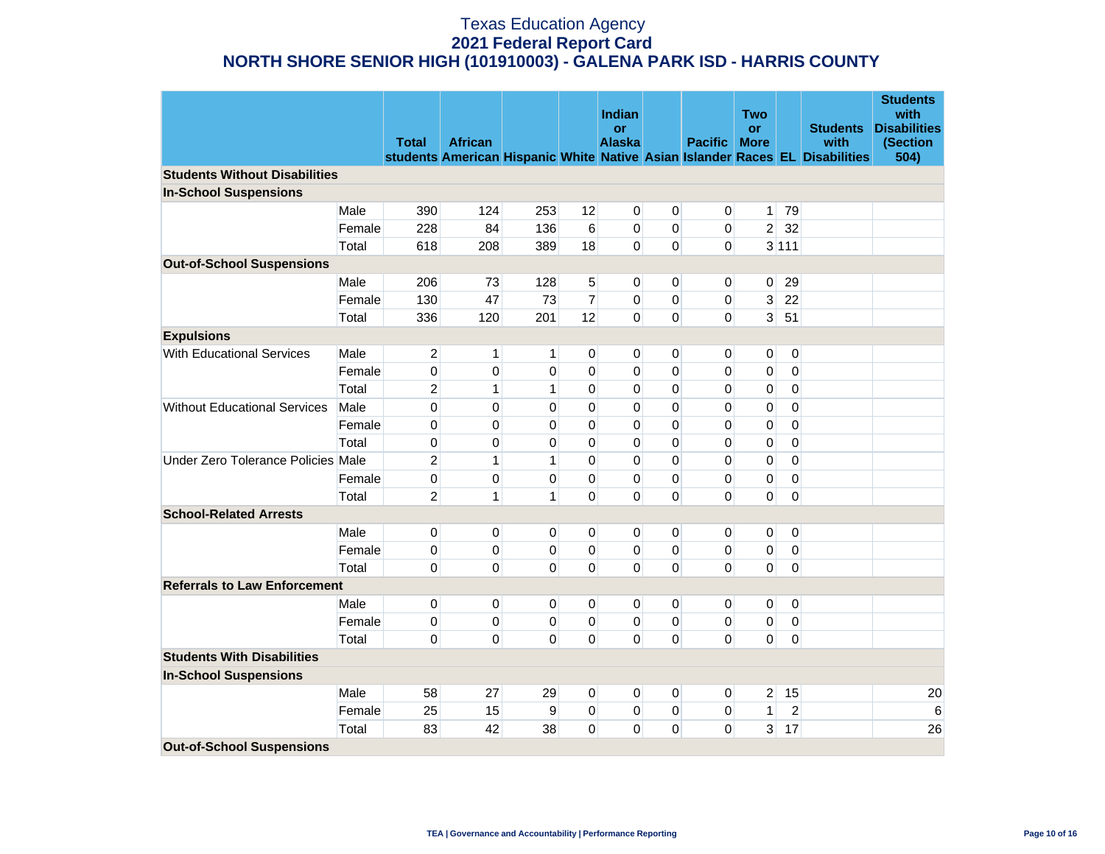|                                      |        |                |                |              |                | Indian              |                |                | <b>Two</b>               |                   |                                                                              | <b>Students</b><br>with<br><b>Disabilities</b> |
|--------------------------------------|--------|----------------|----------------|--------------|----------------|---------------------|----------------|----------------|--------------------------|-------------------|------------------------------------------------------------------------------|------------------------------------------------|
|                                      |        | <b>Total</b>   | <b>African</b> |              |                | or<br><b>Alaska</b> |                | <b>Pacific</b> | <b>or</b><br><b>More</b> |                   | <b>Students</b><br>with                                                      | (Section                                       |
|                                      |        |                |                |              |                |                     |                |                |                          |                   | students American Hispanic White Native Asian Islander Races EL Disabilities | 504)                                           |
| <b>Students Without Disabilities</b> |        |                |                |              |                |                     |                |                |                          |                   |                                                                              |                                                |
| <b>In-School Suspensions</b>         |        |                |                |              |                |                     |                |                |                          |                   |                                                                              |                                                |
|                                      | Male   | 390            | 124            | 253          | 12             | $\pmb{0}$           | $\pmb{0}$      | $\mathbf 0$    |                          | $1 \overline{79}$ |                                                                              |                                                |
|                                      | Female | 228            | 84             | 136          | $6\,$          | $\pmb{0}$           | $\mathbf 0$    | 0              | 2                        | 32                |                                                                              |                                                |
|                                      | Total  | 618            | 208            | 389          | 18             | $\Omega$            | $\overline{0}$ | $\overline{0}$ |                          | 3 111             |                                                                              |                                                |
| <b>Out-of-School Suspensions</b>     |        |                |                |              |                |                     |                |                |                          |                   |                                                                              |                                                |
|                                      | Male   | 206            | 73             | 128          | 5              | 0                   | 0              | 0              | $\overline{0}$           | 29                |                                                                              |                                                |
|                                      | Female | 130            | 47             | 73           | $\overline{7}$ | 0                   | $\mathbf 0$    | 0              | 3                        | 22                |                                                                              |                                                |
|                                      | Total  | 336            | 120            | 201          | 12             | $\Omega$            | $\overline{0}$ | $\overline{0}$ | $\overline{3}$           | 51                |                                                                              |                                                |
| <b>Expulsions</b>                    |        |                |                |              |                |                     |                |                |                          |                   |                                                                              |                                                |
| With Educational Services            | Male   | $\overline{2}$ | 1              | 1            | 0              | 0                   | 0              | 0              | 0                        | 0                 |                                                                              |                                                |
|                                      | Female | 0              | 0              | 0            | 0              | $\Omega$            | $\pmb{0}$      | 0              | 0                        | 0                 |                                                                              |                                                |
|                                      | Total  | $\overline{2}$ | 1              | 1            | 0              | $\mathbf 0$         | $\mathbf 0$    | 0              | 0                        | 0                 |                                                                              |                                                |
| <b>Without Educational Services</b>  | Male   | 0              | 0              | 0            | 0              | 0                   | $\mathbf 0$    | 0              | 0                        | 0                 |                                                                              |                                                |
|                                      | Female | 0              | 0              | 0            | 0              | $\mathbf 0$         | $\mathbf 0$    | 0              | 0                        | 0                 |                                                                              |                                                |
|                                      | Total  | 0              | 0              | 0            | $\Omega$       | 0                   | $\pmb{0}$      | 0              | 0                        | 0                 |                                                                              |                                                |
| Under Zero Tolerance Policies Male   |        | $\overline{2}$ | 1              | 1            | $\Omega$       | 0                   | $\pmb{0}$      | 0              | 0                        | 0                 |                                                                              |                                                |
|                                      | Female | 0              | 0              | 0            | 0              | 0                   | $\pmb{0}$      | 0              | 0                        | 0                 |                                                                              |                                                |
|                                      | Total  | $\overline{2}$ | 1              | $\mathbf{1}$ | $\Omega$       | 0                   | 0              | 0              | $\pmb{0}$                | 0                 |                                                                              |                                                |
| <b>School-Related Arrests</b>        |        |                |                |              |                |                     |                |                |                          |                   |                                                                              |                                                |
|                                      | Male   | $\overline{0}$ | 0              | 0            | 0              | 0                   | 0              | 0              | 0                        | 0                 |                                                                              |                                                |
|                                      | Female | 0              | 0              | 0            | $\mathbf 0$    | 0                   | $\pmb{0}$      | 0              | 0                        | 0                 |                                                                              |                                                |
|                                      | Total  | 0              | 0              | 0            | 0              | 0                   | 0              | $\overline{0}$ | $\pmb{0}$                | 0                 |                                                                              |                                                |
| <b>Referrals to Law Enforcement</b>  |        |                |                |              |                |                     |                |                |                          |                   |                                                                              |                                                |
|                                      | Male   | 0              | 0              | 0            | 0              | 0                   | 0              | 0              | 0                        | 0                 |                                                                              |                                                |
|                                      | Female | 0              | 0              | 0            | $\pmb{0}$      | 0                   | $\pmb{0}$      | 0              | 0                        | 0                 |                                                                              |                                                |
|                                      | Total  | 0              | 0              | 0            | 0              | 0                   | $\mathbf 0$    | 0              | $\pmb{0}$                | 0                 |                                                                              |                                                |
| <b>Students With Disabilities</b>    |        |                |                |              |                |                     |                |                |                          |                   |                                                                              |                                                |
| <b>In-School Suspensions</b>         |        |                |                |              |                |                     |                |                |                          |                   |                                                                              |                                                |
|                                      | Male   | 58             | 27             | 29           | 0              | 0                   | 0              | $\overline{0}$ | 2                        | 15                |                                                                              | 20                                             |
|                                      | Female | 25             | 15             | 9            | $\mathbf 0$    | 0                   | $\pmb{0}$      | 0              | $\mathbf{1}$             | $\mathbf 2$       |                                                                              | 6                                              |
|                                      | Total  | 83             | 42             | 38           | $\mathbf 0$    | 0                   | 0              | 0              | $\overline{3}$           | 17                |                                                                              | 26                                             |
| <b>Out-of-School Suspensions</b>     |        |                |                |              |                |                     |                |                |                          |                   |                                                                              |                                                |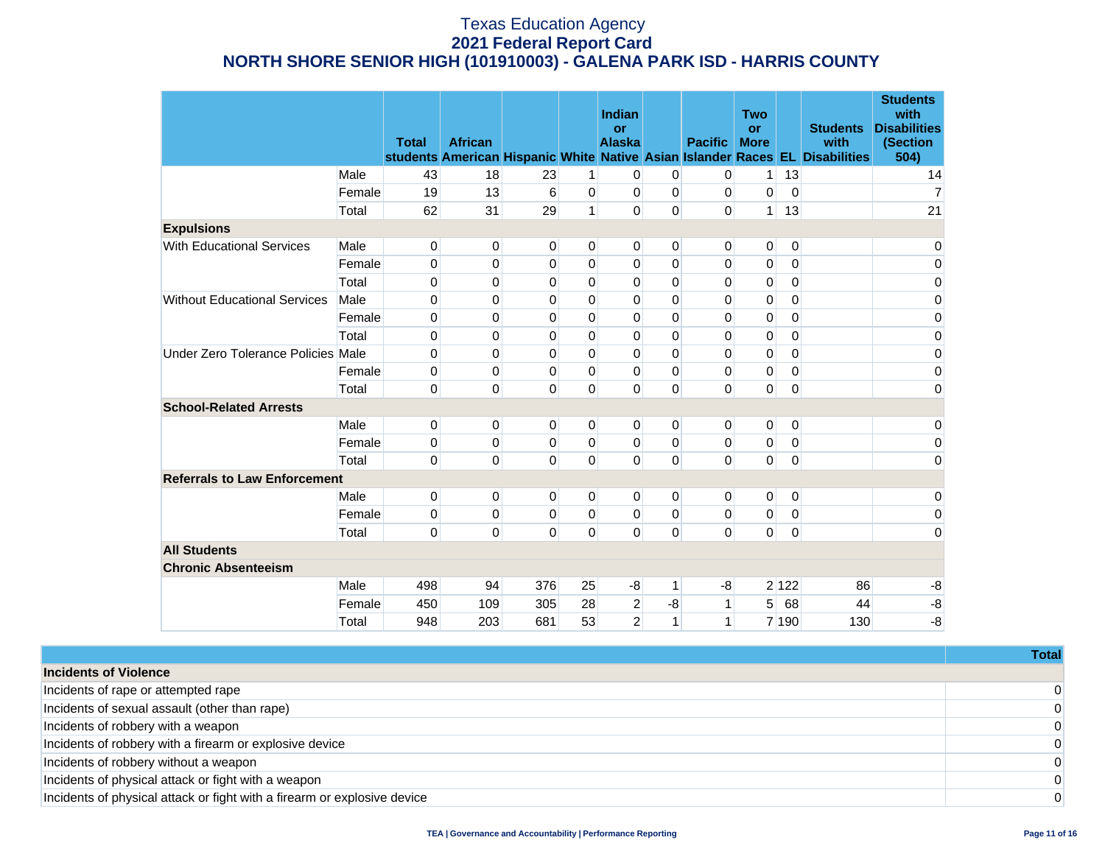|                                     |        | <b>Total</b> | <b>African</b> |          |                | Indian<br>or<br><b>Alaska</b> |              | <b>Pacific</b> | <b>Two</b><br><b>or</b><br><b>More</b> |             | <b>Students</b><br>with<br>students American Hispanic White Native Asian Islander Races EL Disabilities | <b>Students</b><br>with<br><b>Disabilities</b><br>(Section<br>504) |
|-------------------------------------|--------|--------------|----------------|----------|----------------|-------------------------------|--------------|----------------|----------------------------------------|-------------|---------------------------------------------------------------------------------------------------------|--------------------------------------------------------------------|
|                                     | Male   | 43           | 18             | 23       | $\mathbf{1}$   | 0                             | 0            | 0              | 1 <sup>1</sup>                         | 13          |                                                                                                         | 14                                                                 |
|                                     | Female | 19           | 13             | 6        | $\mathbf{0}$   | 0                             | 0            | 0              | 0                                      | $\Omega$    |                                                                                                         | $\overline{7}$                                                     |
|                                     | Total  | 62           | 31             | 29       | $\mathbf{1}$   | $\Omega$                      | $\mathbf 0$  | $\overline{0}$ | 1 <sup>1</sup>                         | 13          |                                                                                                         | 21                                                                 |
| <b>Expulsions</b>                   |        |              |                |          |                |                               |              |                |                                        |             |                                                                                                         |                                                                    |
| <b>With Educational Services</b>    | Male   | 0            | 0              | 0        | $\mathbf{0}$   | $\mathbf{0}$                  | 0            | 0              | 0                                      | 0           |                                                                                                         | 0                                                                  |
|                                     | Female | 0            | 0              | 0        | 0              | 0                             | $\mathbf 0$  | 0              | 0                                      | 0           |                                                                                                         | $\pmb{0}$                                                          |
|                                     | Total  | 0            | 0              | 0        | $\mathbf 0$    | 0                             | $\mathbf{0}$ | 0              | 0                                      | 0           |                                                                                                         | 0                                                                  |
| <b>Without Educational Services</b> | Male   | 0            | 0              | $\Omega$ | $\Omega$       | $\Omega$                      | $\Omega$     | 0              | 0                                      | $\Omega$    |                                                                                                         | 0                                                                  |
|                                     | Female | 0            | 0              | 0        | 0              | 0                             | $\mathbf 0$  | 0              | 0                                      | 0           |                                                                                                         | 0                                                                  |
|                                     | Total  | 0            | 0              | 0        | $\mathbf 0$    | 0                             | $\mathbf 0$  | 0              | 0                                      | 0           |                                                                                                         | 0                                                                  |
| Under Zero Tolerance Policies       | Male   | 0            | 0              | 0        | $\Omega$       | $\Omega$                      | $\Omega$     | 0              | 0                                      | $\Omega$    |                                                                                                         | 0                                                                  |
|                                     | Female | 0            | 0              | 0        | 0              | 0                             | 0            | 0              | 0                                      | 0           |                                                                                                         | 0                                                                  |
|                                     | Total  | 0            | 0              | 0        | $\Omega$       | 0                             | $\mathbf 0$  | $\overline{0}$ | $\overline{0}$                         | 0           |                                                                                                         | 0                                                                  |
| <b>School-Related Arrests</b>       |        |              |                |          |                |                               |              |                |                                        |             |                                                                                                         |                                                                    |
|                                     | Male   | 0            | $\overline{0}$ | 0        | $\mathbf{0}$   | $\mathbf{0}$                  | 0            | 0              | $\overline{0}$                         | 0           |                                                                                                         | 0                                                                  |
|                                     | Female | 0            | 0              | 0        | $\Omega$       | 0                             | $\mathbf 0$  | 0              | 0                                      | 0           |                                                                                                         | 0                                                                  |
|                                     | Total  | 0            | 0              | 0        | $\mathbf 0$    | 0                             | 0            | $\overline{0}$ | $\overline{0}$                         | 0           |                                                                                                         | 0                                                                  |
| <b>Referrals to Law Enforcement</b> |        |              |                |          |                |                               |              |                |                                        |             |                                                                                                         |                                                                    |
|                                     | Male   | 0            | $\overline{0}$ | 0        | $\mathbf{0}$   | $\mathbf{0}$                  | 0            | $\overline{0}$ | $\overline{0}$                         | $\mathbf 0$ |                                                                                                         | 0                                                                  |
|                                     | Female | 0            | 0              | 0        | $\Omega$       | 0                             | 0            | 0              | 0                                      | 0           |                                                                                                         | 0                                                                  |
|                                     | Total  | 0            | 0              | 0        | $\overline{0}$ | $\mathbf 0$                   | $\mathbf 0$  | $\overline{0}$ | $\overline{0}$                         | $\mathbf 0$ |                                                                                                         | 0                                                                  |
| <b>All Students</b>                 |        |              |                |          |                |                               |              |                |                                        |             |                                                                                                         |                                                                    |
| <b>Chronic Absenteeism</b>          |        |              |                |          |                |                               |              |                |                                        |             |                                                                                                         |                                                                    |
|                                     | Male   | 498          | 94             | 376      | 25             | $-8$                          | 1            | -8             |                                        | 2 122       | 86                                                                                                      | -8                                                                 |
|                                     | Female | 450          | 109            | 305      | 28             | $\overline{2}$                | $-8$         | 1              | 5                                      | 68          | 44                                                                                                      | -8                                                                 |
|                                     | Total  | 948          | 203            | 681      | 53             | $\overline{2}$                | 1            | 1              |                                        | 7 190       | 130                                                                                                     | $-8$                                                               |

|                                                                          | <b>Total</b> |
|--------------------------------------------------------------------------|--------------|
| <b>Incidents of Violence</b>                                             |              |
| Incidents of rape or attempted rape                                      | $\mathbf{0}$ |
| Incidents of sexual assault (other than rape)                            | $\Omega$     |
| Incidents of robbery with a weapon                                       | $\Omega$     |
| Incidents of robbery with a firearm or explosive device                  | $\Omega$     |
| Incidents of robbery without a weapon                                    | $\Omega$     |
| Incidents of physical attack or fight with a weapon                      | $\mathbf{0}$ |
| Incidents of physical attack or fight with a firearm or explosive device | $\Omega$     |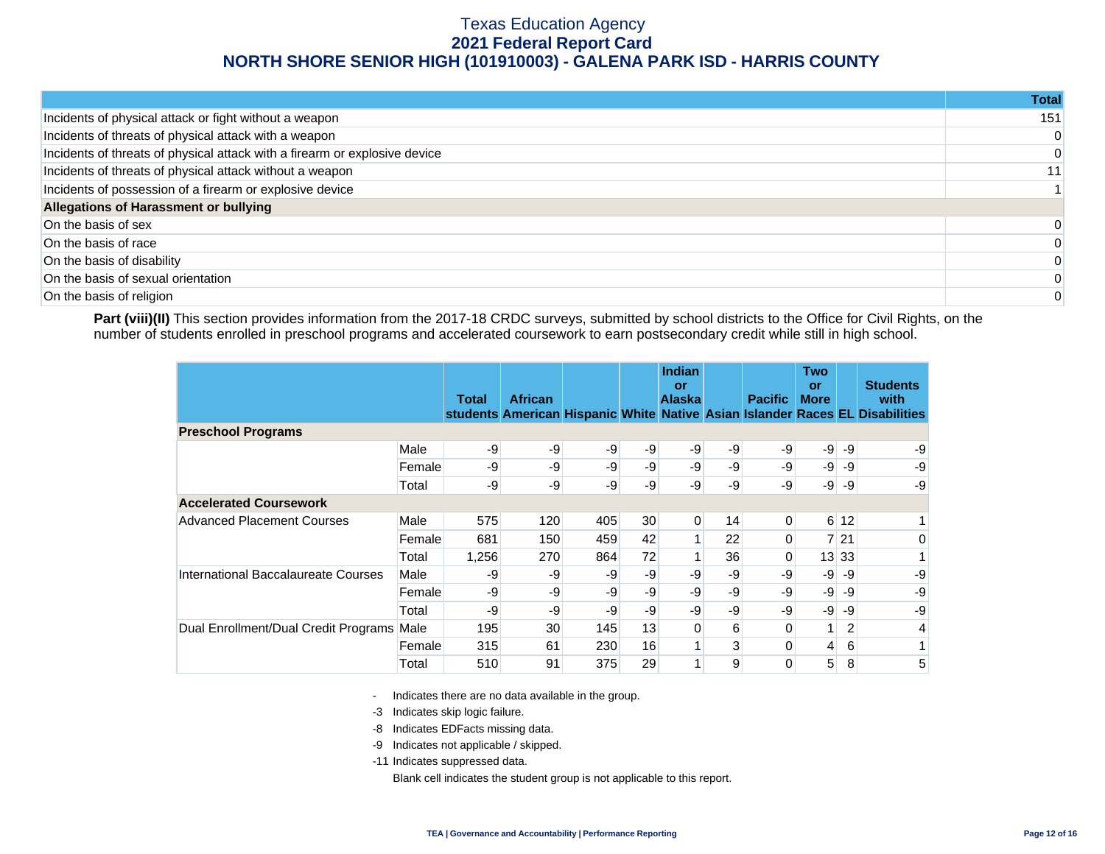|                                                                            | Total |
|----------------------------------------------------------------------------|-------|
| Incidents of physical attack or fight without a weapon                     | 151   |
| Incidents of threats of physical attack with a weapon                      | 0     |
| Incidents of threats of physical attack with a firearm or explosive device | 0     |
| Incidents of threats of physical attack without a weapon                   | 11    |
| Incidents of possession of a firearm or explosive device                   |       |
| Allegations of Harassment or bullying                                      |       |
| On the basis of sex                                                        |       |
| On the basis of race                                                       |       |
| On the basis of disability                                                 | 0     |
| On the basis of sexual orientation                                         | 0     |
| On the basis of religion                                                   | 0     |

Part (viii)(II) This section provides information from the 2017-18 CRDC surveys, submitted by school districts to the Office for Civil Rights, on the number of students enrolled in preschool programs and accelerated coursework to earn postsecondary credit while still in high school.

|                                      |        | <b>Total</b> | <b>African</b> |     |      | <b>Indian</b><br>or<br><b>Alaska</b> |    | <b>Pacific</b> | Two<br>or<br><b>More</b> |       | <b>Students</b><br>with<br>students American Hispanic White Native Asian Islander Races EL Disabilities |
|--------------------------------------|--------|--------------|----------------|-----|------|--------------------------------------|----|----------------|--------------------------|-------|---------------------------------------------------------------------------------------------------------|
| <b>Preschool Programs</b>            |        |              |                |     |      |                                      |    |                |                          |       |                                                                                                         |
|                                      | Male   | -9           | -9             | -9  | -9   | $-9$                                 | -9 | $-9$           | -9                       | -9    | -9                                                                                                      |
|                                      | Female | -9           | -9             | -9  | $-9$ | -9                                   | -9 | -9             | $-9$                     | -9    | -9                                                                                                      |
|                                      | Total  | -9           | $-9$           | -9  | -9   | -9                                   | -9 | -9             | $-9$                     | -9    | -9                                                                                                      |
| <b>Accelerated Coursework</b>        |        |              |                |     |      |                                      |    |                |                          |       |                                                                                                         |
| <b>Advanced Placement Courses</b>    | Male   | 575          | 120            | 405 | 30   | $\overline{0}$                       | 14 | 0              |                          | 612   |                                                                                                         |
|                                      | Female | 681          | 150            | 459 | 42   |                                      | 22 | 0              |                          | 7 21  | 0                                                                                                       |
|                                      | Total  | 1,256        | 270            | 864 | 72   |                                      | 36 | 0              |                          | 13 33 |                                                                                                         |
| International Baccalaureate Courses  | Male   | -9           | -9             | -9  | -9   | -9                                   | -9 | -9             | $-9$                     | -9    | -9                                                                                                      |
|                                      | Female | -9           | -9             | -9  | $-9$ | -9                                   | -9 | -9             | $-9$                     | -9    | -9                                                                                                      |
|                                      | Total  | -9           | -9             | -9  | $-9$ | -9                                   | -9 | -9             | $-9$                     | -9    | -9                                                                                                      |
| Dual Enrollment/Dual Credit Programs | Male   | 195          | 30             | 145 | 13   | 0                                    | 6  | 0              | 1 <sup>1</sup>           | 2     | 4                                                                                                       |
|                                      | Female | 315          | 61             | 230 | 16   |                                      | 3  | 0              | $\vert 4 \vert$          | 6     | 1 <sub>1</sub>                                                                                          |
|                                      | Total  | 510          | 91             | 375 | 29   | $\mathbf{1}$                         | 9  | 0              | 5                        | 8     | 5                                                                                                       |

- Indicates there are no data available in the group.

-3 Indicates skip logic failure.

- -8 Indicates EDFacts missing data.
- -9 Indicates not applicable / skipped.

-11 Indicates suppressed data.

Blank cell indicates the student group is not applicable to this report.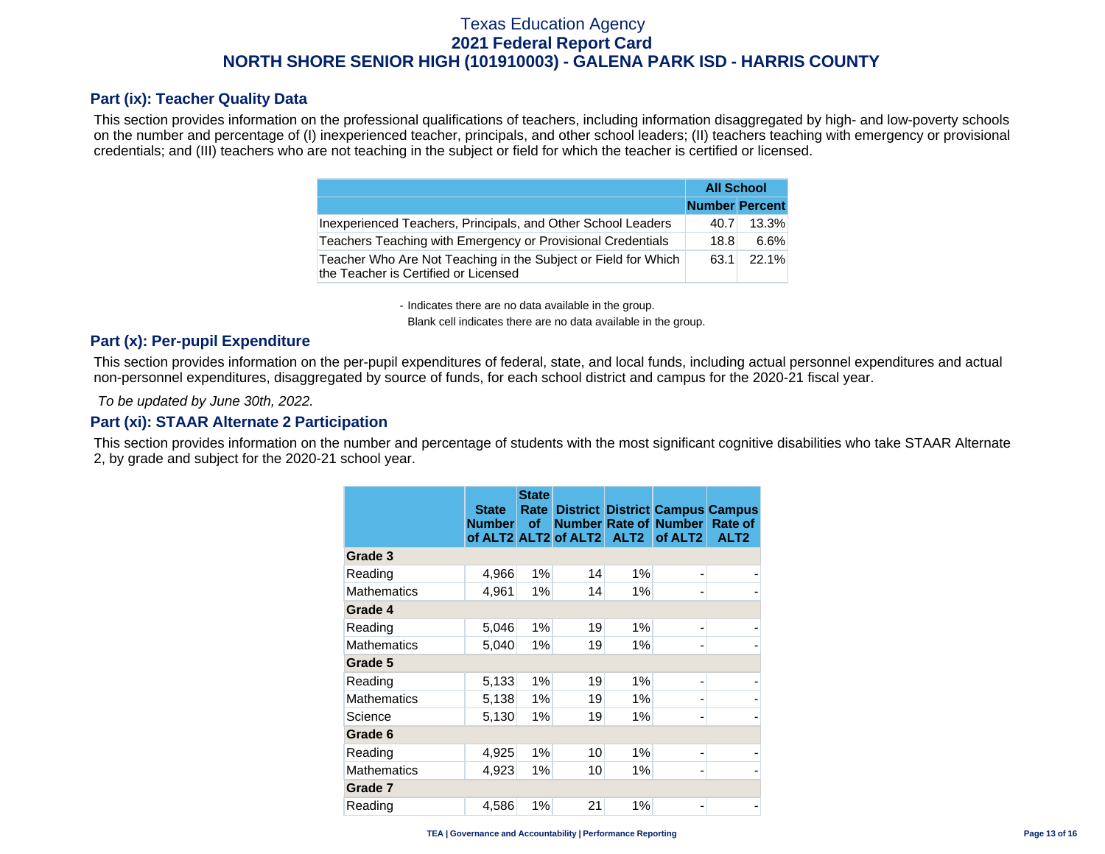#### **Part (ix): Teacher Quality Data**

This section provides information on the professional qualifications of teachers, including information disaggregated by high- and low-poverty schools on the number and percentage of (I) inexperienced teacher, principals, and other school leaders; (II) teachers teaching with emergency or provisional credentials; and (III) teachers who are not teaching in the subject or field for which the teacher is certified or licensed.

|                                                                                                        | <b>All School</b>     |       |
|--------------------------------------------------------------------------------------------------------|-----------------------|-------|
|                                                                                                        | <b>Number Percent</b> |       |
| Inexperienced Teachers, Principals, and Other School Leaders                                           | 40.7                  | 13.3% |
| Teachers Teaching with Emergency or Provisional Credentials                                            | 18.8                  | 6.6%  |
| Teacher Who Are Not Teaching in the Subject or Field for Which<br>the Teacher is Certified or Licensed | 63.1                  | 22.1% |

- Indicates there are no data available in the group.

Blank cell indicates there are no data available in the group.

#### **Part (x): Per-pupil Expenditure**

This section provides information on the per-pupil expenditures of federal, state, and local funds, including actual personnel expenditures and actual non-personnel expenditures, disaggregated by source of funds, for each school district and campus for the 2020-21 fiscal year.

 *To be updated by June 30th, 2022.* 

#### **Part (xi): STAAR Alternate 2 Participation**

This section provides information on the number and percentage of students with the most significant cognitive disabilities who take STAAR Alternate 2, by grade and subject for the 2020-21 school year.

|                    | <b>State</b><br><b>Number</b> | <b>State</b><br>Rate  <br><b>of</b> | of ALT2 ALT2 of ALT2 ALT2 |       | <b>District District Campus Campus</b><br><b>Number Rate of Number</b><br>of ALT <sub>2</sub> | Rate of<br>ALT <sub>2</sub> |
|--------------------|-------------------------------|-------------------------------------|---------------------------|-------|-----------------------------------------------------------------------------------------------|-----------------------------|
| Grade 3            |                               |                                     |                           |       |                                                                                               |                             |
| Reading            | 4,966                         | 1%                                  | 14                        | 1%    |                                                                                               |                             |
| <b>Mathematics</b> | 4,961                         | 1%                                  | 14                        | $1\%$ |                                                                                               |                             |
| Grade 4            |                               |                                     |                           |       |                                                                                               |                             |
| Reading            | 5,046                         | 1%                                  | 19                        | 1%    | -                                                                                             |                             |
| <b>Mathematics</b> | 5,040                         | 1%                                  | 19                        | $1\%$ | -                                                                                             |                             |
| Grade 5            |                               |                                     |                           |       |                                                                                               |                             |
| Reading            | 5,133                         | 1%                                  | 19                        | $1\%$ | $\overline{\phantom{0}}$                                                                      |                             |
| <b>Mathematics</b> | 5,138                         | 1%                                  | 19                        | 1%    | $\overline{\phantom{0}}$                                                                      |                             |
| Science            | 5,130                         | 1%                                  | 19                        | $1\%$ | -                                                                                             |                             |
| Grade 6            |                               |                                     |                           |       |                                                                                               |                             |
| Reading            | 4,925                         | 1%                                  | 10                        | 1%    | $\overline{\phantom{0}}$                                                                      |                             |
| <b>Mathematics</b> | 4,923                         | 1%                                  | 10                        | $1\%$ | $\overline{\phantom{a}}$                                                                      |                             |
| Grade 7            |                               |                                     |                           |       |                                                                                               |                             |
| Reading            | 4,586                         | 1%                                  | 21                        | 1%    |                                                                                               |                             |